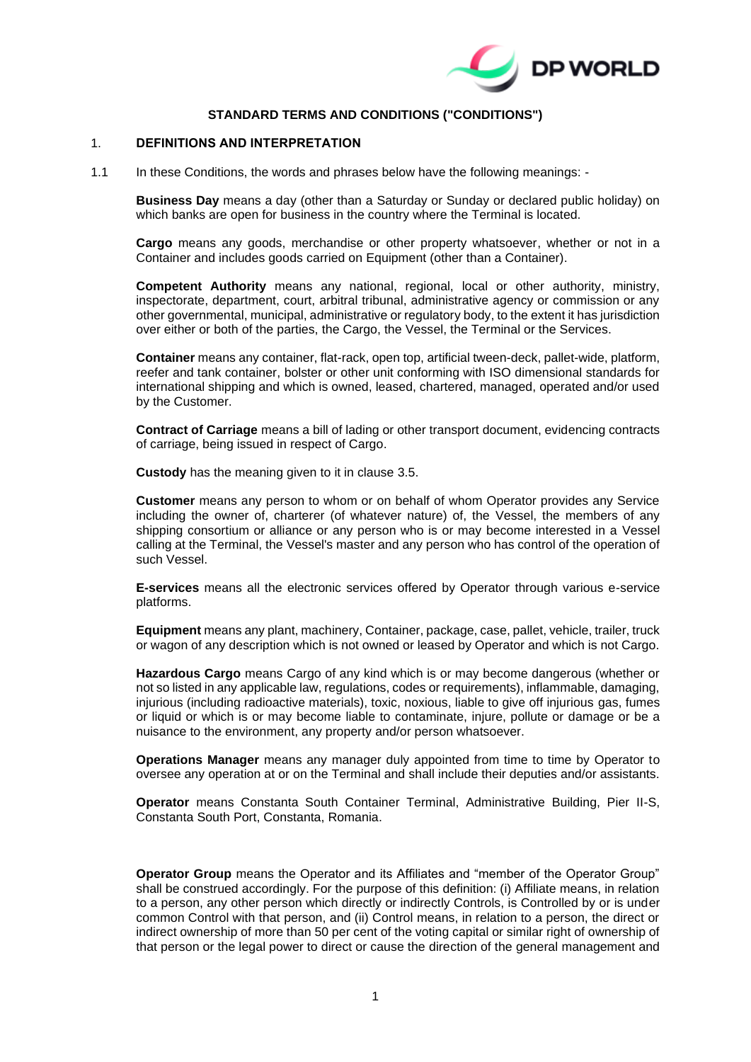

# **STANDARD TERMS AND CONDITIONS ("CONDITIONS")**

#### 1. **DEFINITIONS AND INTERPRETATION**

1.1 In these Conditions, the words and phrases below have the following meanings: -

**Business Day** means a day (other than a Saturday or Sunday or declared public holiday) on which banks are open for business in the country where the Terminal is located.

**Cargo** means any goods, merchandise or other property whatsoever, whether or not in a Container and includes goods carried on Equipment (other than a Container).

**Competent Authority** means any national, regional, local or other authority, ministry, inspectorate, department, court, arbitral tribunal, administrative agency or commission or any other governmental, municipal, administrative or regulatory body, to the extent it has jurisdiction over either or both of the parties, the Cargo, the Vessel, the Terminal or the Services.

**Container** means any container, flat-rack, open top, artificial tween-deck, pallet-wide, platform, reefer and tank container, bolster or other unit conforming with ISO dimensional standards for international shipping and which is owned, leased, chartered, managed, operated and/or used by the Customer.

**Contract of Carriage** means a bill of lading or other transport document, evidencing contracts of carriage, being issued in respect of Cargo.

**Custody** has the meaning given to it in clause [3.5.](#page-3-0)

**Customer** means any person to whom or on behalf of whom Operator provides any Service including the owner of, charterer (of whatever nature) of, the Vessel, the members of any shipping consortium or alliance or any person who is or may become interested in a Vessel calling at the Terminal, the Vessel's master and any person who has control of the operation of such Vessel.

**E-services** means all the electronic services offered by Operator through various e-service platforms.

**Equipment** means any plant, machinery, Container, package, case, pallet, vehicle, trailer, truck or wagon of any description which is not owned or leased by Operator and which is not Cargo.

**Hazardous Cargo** means Cargo of any kind which is or may become dangerous (whether or not so listed in any applicable law, regulations, codes or requirements), inflammable, damaging, injurious (including radioactive materials), toxic, noxious, liable to give off injurious gas, fumes or liquid or which is or may become liable to contaminate, injure, pollute or damage or be a nuisance to the environment, any property and/or person whatsoever.

**Operations Manager** means any manager duly appointed from time to time by Operator to oversee any operation at or on the Terminal and shall include their deputies and/or assistants.

**Operator** means Constanta South Container Terminal, Administrative Building, Pier II-S, Constanta South Port, Constanta, Romania.

**Operator Group** means the Operator and its Affiliates and "member of the Operator Group" shall be construed accordingly. For the purpose of this definition: (i) Affiliate means, in relation to a person, any other person which directly or indirectly Controls, is Controlled by or is under common Control with that person, and (ii) Control means, in relation to a person, the direct or indirect ownership of more than 50 per cent of the voting capital or similar right of ownership of that person or the legal power to direct or cause the direction of the general management and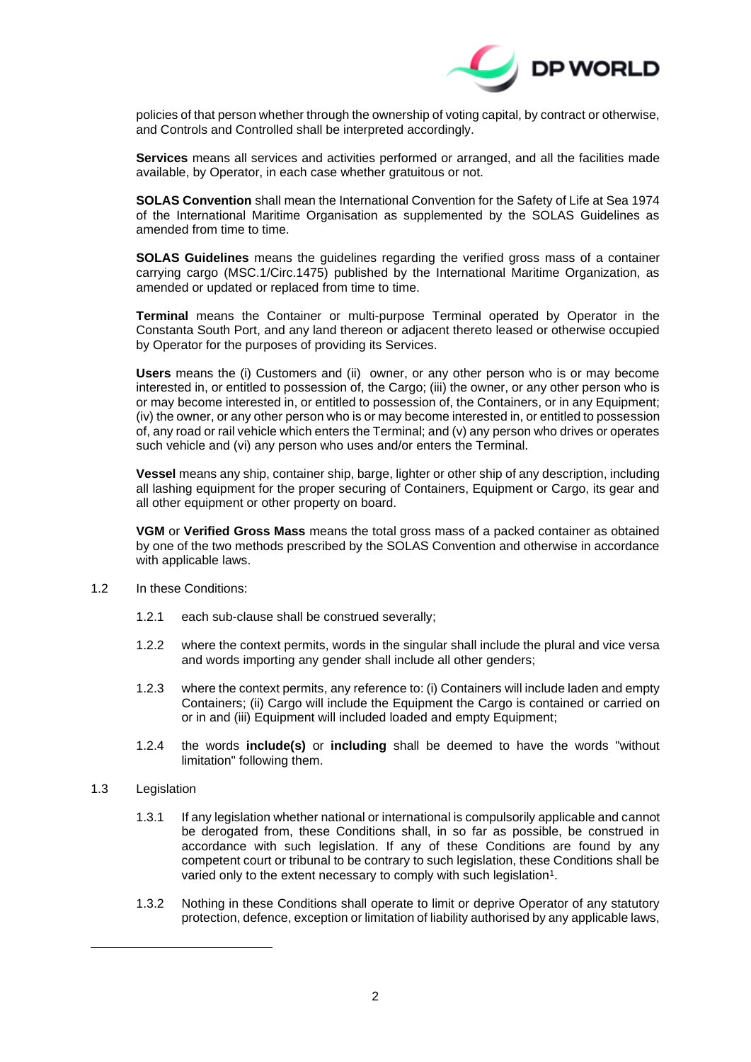

policies of that person whether through the ownership of voting capital, by contract or otherwise, and Controls and Controlled shall be interpreted accordingly.

**Services** means all services and activities performed or arranged, and all the facilities made available, by Operator, in each case whether gratuitous or not.

**SOLAS Convention** shall mean the International Convention for the Safety of Life at Sea 1974 of the International Maritime Organisation as supplemented by the SOLAS Guidelines as amended from time to time.

**SOLAS Guidelines** means the guidelines regarding the verified gross mass of a container carrying cargo (MSC.1/Circ.1475) published by the International Maritime Organization, as amended or updated or replaced from time to time.

**Terminal** means the Container or multi-purpose Terminal operated by Operator in the Constanta South Port, and any land thereon or adjacent thereto leased or otherwise occupied by Operator for the purposes of providing its Services.

**Users** means the (i) Customers and (ii) owner, or any other person who is or may become interested in, or entitled to possession of, the Cargo; (iii) the owner, or any other person who is or may become interested in, or entitled to possession of, the Containers, or in any Equipment; (iv) the owner, or any other person who is or may become interested in, or entitled to possession of, any road or rail vehicle which enters the Terminal; and (v) any person who drives or operates such vehicle and (vi) any person who uses and/or enters the Terminal.

**Vessel** means any ship, container ship, barge, lighter or other ship of any description, including all lashing equipment for the proper securing of Containers, Equipment or Cargo, its gear and all other equipment or other property on board.

**VGM** or **Verified Gross Mass** means the total gross mass of a packed container as obtained by one of the two methods prescribed by the SOLAS Convention and otherwise in accordance with applicable laws.

- 1.2 In these Conditions:
	- 1.2.1 each sub-clause shall be construed severally;
	- 1.2.2 where the context permits, words in the singular shall include the plural and vice versa and words importing any gender shall include all other genders;
	- 1.2.3 where the context permits, any reference to: (i) Containers will include laden and empty Containers; (ii) Cargo will include the Equipment the Cargo is contained or carried on or in and (iii) Equipment will included loaded and empty Equipment;
	- 1.2.4 the words **include(s)** or **including** shall be deemed to have the words "without limitation" following them.
- 1.3 Legislation
	- 1.3.1 If any legislation whether national or international is compulsorily applicable and cannot be derogated from, these Conditions shall, in so far as possible, be construed in accordance with such legislation. If any of these Conditions are found by any competent court or tribunal to be contrary to such legislation, these Conditions shall be varied only to the extent necessary to comply with such legislation<sup>1</sup>.
	- 1.3.2 Nothing in these Conditions shall operate to limit or deprive Operator of any statutory protection, defence, exception or limitation of liability authorised by any applicable laws,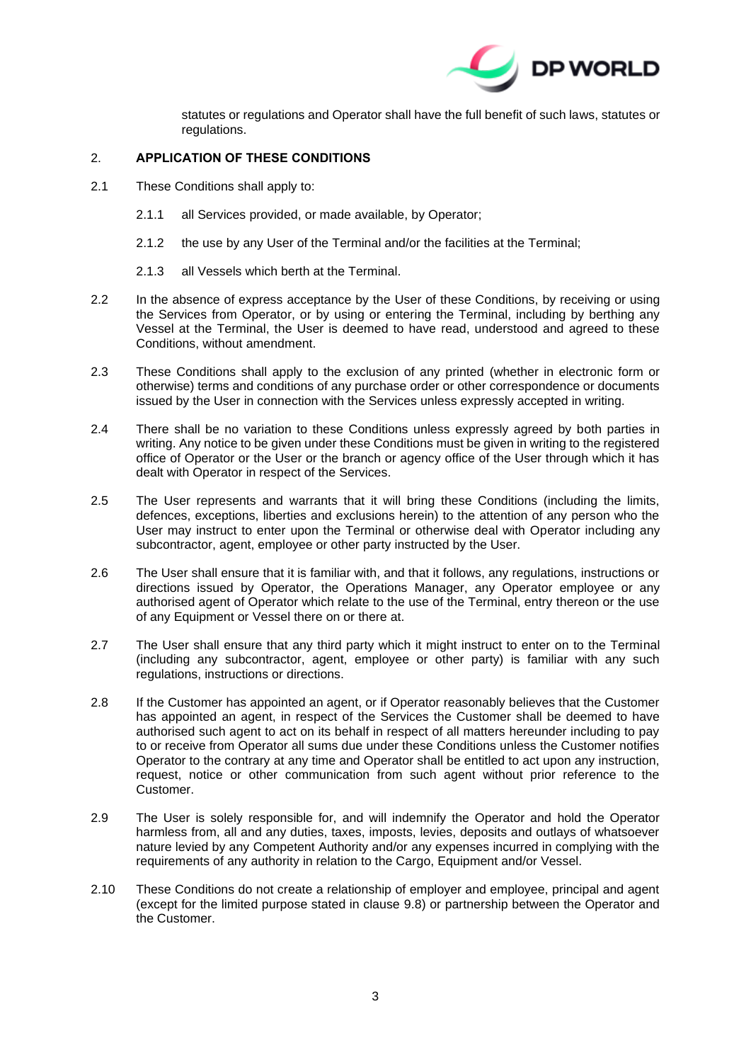

statutes or regulations and Operator shall have the full benefit of such laws, statutes or regulations.

## 2. **APPLICATION OF THESE CONDITIONS**

- 2.1 These Conditions shall apply to:
	- 2.1.1 all Services provided, or made available, by Operator;
	- 2.1.2 the use by any User of the Terminal and/or the facilities at the Terminal;
	- 2.1.3 all Vessels which berth at the Terminal.
- 2.2 In the absence of express acceptance by the User of these Conditions, by receiving or using the Services from Operator, or by using or entering the Terminal, including by berthing any Vessel at the Terminal, the User is deemed to have read, understood and agreed to these Conditions, without amendment.
- 2.3 These Conditions shall apply to the exclusion of any printed (whether in electronic form or otherwise) terms and conditions of any purchase order or other correspondence or documents issued by the User in connection with the Services unless expressly accepted in writing.
- 2.4 There shall be no variation to these Conditions unless expressly agreed by both parties in writing. Any notice to be given under these Conditions must be given in writing to the registered office of Operator or the User or the branch or agency office of the User through which it has dealt with Operator in respect of the Services.
- 2.5 The User represents and warrants that it will bring these Conditions (including the limits, defences, exceptions, liberties and exclusions herein) to the attention of any person who the User may instruct to enter upon the Terminal or otherwise deal with Operator including any subcontractor, agent, employee or other party instructed by the User.
- 2.6 The User shall ensure that it is familiar with, and that it follows, any regulations, instructions or directions issued by Operator, the Operations Manager, any Operator employee or any authorised agent of Operator which relate to the use of the Terminal, entry thereon or the use of any Equipment or Vessel there on or there at.
- 2.7 The User shall ensure that any third party which it might instruct to enter on to the Terminal (including any subcontractor, agent, employee or other party) is familiar with any such regulations, instructions or directions.
- 2.8 If the Customer has appointed an agent, or if Operator reasonably believes that the Customer has appointed an agent, in respect of the Services the Customer shall be deemed to have authorised such agent to act on its behalf in respect of all matters hereunder including to pay to or receive from Operator all sums due under these Conditions unless the Customer notifies Operator to the contrary at any time and Operator shall be entitled to act upon any instruction, request, notice or other communication from such agent without prior reference to the Customer.
- 2.9 The User is solely responsible for, and will indemnify the Operator and hold the Operator harmless from, all and any duties, taxes, imposts, levies, deposits and outlays of whatsoever nature levied by any Competent Authority and/or any expenses incurred in complying with the requirements of any authority in relation to the Cargo, Equipment and/or Vessel.
- 2.10 These Conditions do not create a relationship of employer and employee, principal and agent (except for the limited purpose stated in clause [9.8\)](#page-13-0) or partnership between the Operator and the Customer.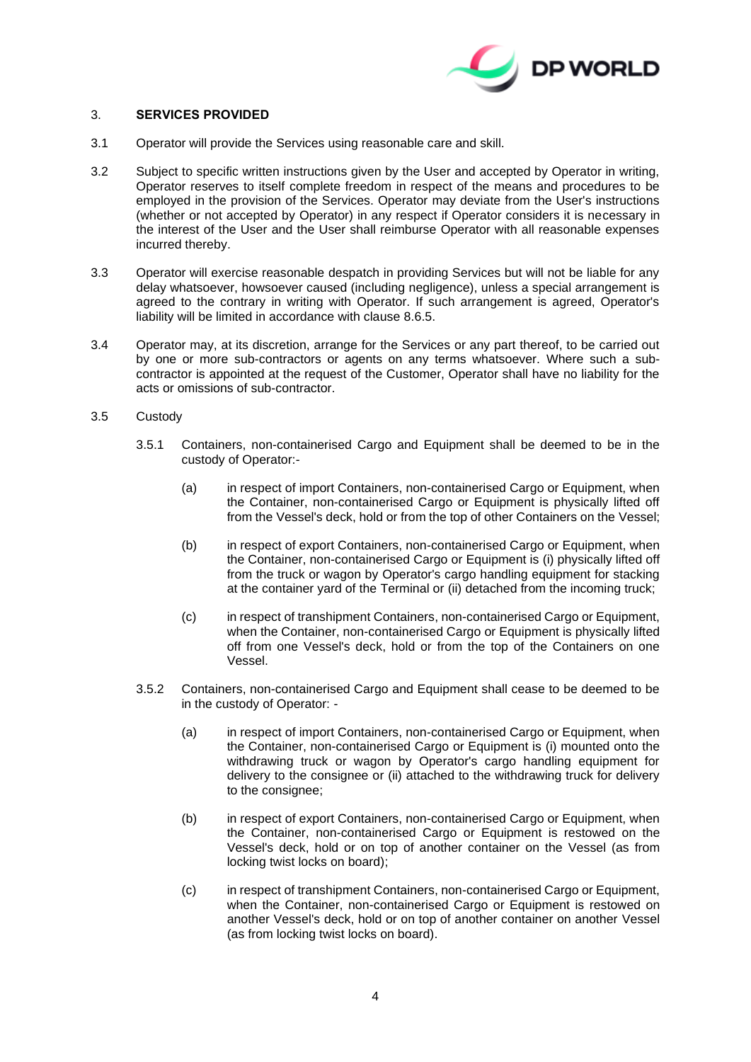

## <span id="page-3-1"></span>3. **SERVICES PROVIDED**

- 3.1 Operator will provide the Services using reasonable care and skill.
- 3.2 Subject to specific written instructions given by the User and accepted by Operator in writing, Operator reserves to itself complete freedom in respect of the means and procedures to be employed in the provision of the Services. Operator may deviate from the User's instructions (whether or not accepted by Operator) in any respect if Operator considers it is necessary in the interest of the User and the User shall reimburse Operator with all reasonable expenses incurred thereby.
- 3.3 Operator will exercise reasonable despatch in providing Services but will not be liable for any delay whatsoever, howsoever caused (including negligence), unless a special arrangement is agreed to the contrary in writing with Operator. If such arrangement is agreed, Operator's liability will be limited in accordance with clause [8.6.5.](#page-11-0)
- 3.4 Operator may, at its discretion, arrange for the Services or any part thereof, to be carried out by one or more sub-contractors or agents on any terms whatsoever. Where such a subcontractor is appointed at the request of the Customer, Operator shall have no liability for the acts or omissions of sub-contractor.
- <span id="page-3-0"></span>3.5 Custody
	- 3.5.1 Containers, non-containerised Cargo and Equipment shall be deemed to be in the custody of Operator:-
		- (a) in respect of import Containers, non-containerised Cargo or Equipment, when the Container, non-containerised Cargo or Equipment is physically lifted off from the Vessel's deck, hold or from the top of other Containers on the Vessel;
		- (b) in respect of export Containers, non-containerised Cargo or Equipment, when the Container, non-containerised Cargo or Equipment is (i) physically lifted off from the truck or wagon by Operator's cargo handling equipment for stacking at the container yard of the Terminal or (ii) detached from the incoming truck;
		- (c) in respect of transhipment Containers, non-containerised Cargo or Equipment, when the Container, non-containerised Cargo or Equipment is physically lifted off from one Vessel's deck, hold or from the top of the Containers on one Vessel.
	- 3.5.2 Containers, non-containerised Cargo and Equipment shall cease to be deemed to be in the custody of Operator: -
		- (a) in respect of import Containers, non-containerised Cargo or Equipment, when the Container, non-containerised Cargo or Equipment is (i) mounted onto the withdrawing truck or wagon by Operator's cargo handling equipment for delivery to the consignee or (ii) attached to the withdrawing truck for delivery to the consignee;
		- (b) in respect of export Containers, non-containerised Cargo or Equipment, when the Container, non-containerised Cargo or Equipment is restowed on the Vessel's deck, hold or on top of another container on the Vessel (as from locking twist locks on board);
		- (c) in respect of transhipment Containers, non-containerised Cargo or Equipment, when the Container, non-containerised Cargo or Equipment is restowed on another Vessel's deck, hold or on top of another container on another Vessel (as from locking twist locks on board).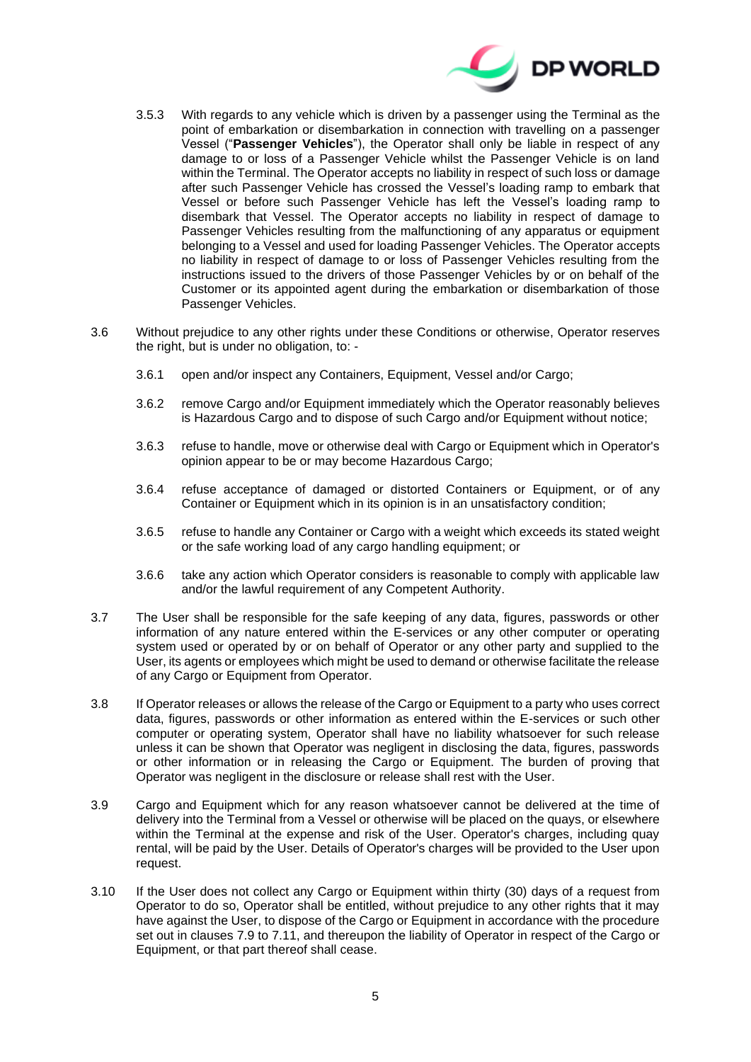

- 3.5.3 With regards to any vehicle which is driven by a passenger using the Terminal as the point of embarkation or disembarkation in connection with travelling on a passenger Vessel ("**Passenger Vehicles**"), the Operator shall only be liable in respect of any damage to or loss of a Passenger Vehicle whilst the Passenger Vehicle is on land within the Terminal. The Operator accepts no liability in respect of such loss or damage after such Passenger Vehicle has crossed the Vessel's loading ramp to embark that Vessel or before such Passenger Vehicle has left the Vessel's loading ramp to disembark that Vessel. The Operator accepts no liability in respect of damage to Passenger Vehicles resulting from the malfunctioning of any apparatus or equipment belonging to a Vessel and used for loading Passenger Vehicles. The Operator accepts no liability in respect of damage to or loss of Passenger Vehicles resulting from the instructions issued to the drivers of those Passenger Vehicles by or on behalf of the Customer or its appointed agent during the embarkation or disembarkation of those Passenger Vehicles.
- 3.6 Without prejudice to any other rights under these Conditions or otherwise, Operator reserves the right, but is under no obligation, to: -
	- 3.6.1 open and/or inspect any Containers, Equipment, Vessel and/or Cargo;
	- 3.6.2 remove Cargo and/or Equipment immediately which the Operator reasonably believes is Hazardous Cargo and to dispose of such Cargo and/or Equipment without notice;
	- 3.6.3 refuse to handle, move or otherwise deal with Cargo or Equipment which in Operator's opinion appear to be or may become Hazardous Cargo;
	- 3.6.4 refuse acceptance of damaged or distorted Containers or Equipment, or of any Container or Equipment which in its opinion is in an unsatisfactory condition;
	- 3.6.5 refuse to handle any Container or Cargo with a weight which exceeds its stated weight or the safe working load of any cargo handling equipment; or
	- 3.6.6 take any action which Operator considers is reasonable to comply with applicable law and/or the lawful requirement of any Competent Authority.
- 3.7 The User shall be responsible for the safe keeping of any data, figures, passwords or other information of any nature entered within the E-services or any other computer or operating system used or operated by or on behalf of Operator or any other party and supplied to the User, its agents or employees which might be used to demand or otherwise facilitate the release of any Cargo or Equipment from Operator.
- 3.8 If Operator releases or allows the release of the Cargo or Equipment to a party who uses correct data, figures, passwords or other information as entered within the E-services or such other computer or operating system, Operator shall have no liability whatsoever for such release unless it can be shown that Operator was negligent in disclosing the data, figures, passwords or other information or in releasing the Cargo or Equipment. The burden of proving that Operator was negligent in the disclosure or release shall rest with the User.
- 3.9 Cargo and Equipment which for any reason whatsoever cannot be delivered at the time of delivery into the Terminal from a Vessel or otherwise will be placed on the quays, or elsewhere within the Terminal at the expense and risk of the User. Operator's charges, including quay rental, will be paid by the User. Details of Operator's charges will be provided to the User upon request.
- <span id="page-4-0"></span>3.10 If the User does not collect any Cargo or Equipment within thirty (30) days of a request from Operator to do so, Operator shall be entitled, without prejudice to any other rights that it may have against the User, to dispose of the Cargo or Equipment in accordance with the procedure set out in clauses [7.9](#page-9-0) to [7.11,](#page-9-1) and thereupon the liability of Operator in respect of the Cargo or Equipment, or that part thereof shall cease.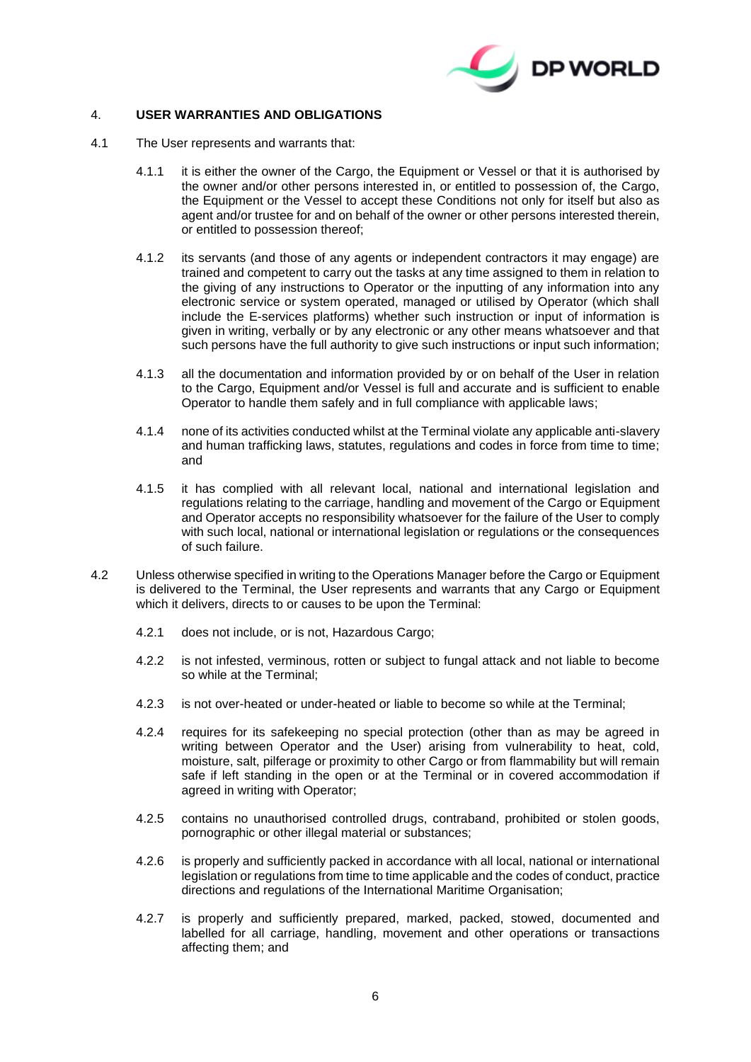

## <span id="page-5-0"></span>4. **USER WARRANTIES AND OBLIGATIONS**

- 4.1 The User represents and warrants that:
	- 4.1.1 it is either the owner of the Cargo, the Equipment or Vessel or that it is authorised by the owner and/or other persons interested in, or entitled to possession of, the Cargo, the Equipment or the Vessel to accept these Conditions not only for itself but also as agent and/or trustee for and on behalf of the owner or other persons interested therein, or entitled to possession thereof;
	- 4.1.2 its servants (and those of any agents or independent contractors it may engage) are trained and competent to carry out the tasks at any time assigned to them in relation to the giving of any instructions to Operator or the inputting of any information into any electronic service or system operated, managed or utilised by Operator (which shall include the E-services platforms) whether such instruction or input of information is given in writing, verbally or by any electronic or any other means whatsoever and that such persons have the full authority to give such instructions or input such information;
	- 4.1.3 all the documentation and information provided by or on behalf of the User in relation to the Cargo, Equipment and/or Vessel is full and accurate and is sufficient to enable Operator to handle them safely and in full compliance with applicable laws;
	- 4.1.4 none of its activities conducted whilst at the Terminal violate any applicable anti-slavery and human trafficking laws, statutes, regulations and codes in force from time to time; and
	- 4.1.5 it has complied with all relevant local, national and international legislation and regulations relating to the carriage, handling and movement of the Cargo or Equipment and Operator accepts no responsibility whatsoever for the failure of the User to comply with such local, national or international legislation or regulations or the consequences of such failure.
- 4.2 Unless otherwise specified in writing to the Operations Manager before the Cargo or Equipment is delivered to the Terminal, the User represents and warrants that any Cargo or Equipment which it delivers, directs to or causes to be upon the Terminal:
	- 4.2.1 does not include, or is not, Hazardous Cargo;
	- 4.2.2 is not infested, verminous, rotten or subject to fungal attack and not liable to become so while at the Terminal;
	- 4.2.3 is not over-heated or under-heated or liable to become so while at the Terminal;
	- 4.2.4 requires for its safekeeping no special protection (other than as may be agreed in writing between Operator and the User) arising from vulnerability to heat, cold, moisture, salt, pilferage or proximity to other Cargo or from flammability but will remain safe if left standing in the open or at the Terminal or in covered accommodation if agreed in writing with Operator;
	- 4.2.5 contains no unauthorised controlled drugs, contraband, prohibited or stolen goods, pornographic or other illegal material or substances;
	- 4.2.6 is properly and sufficiently packed in accordance with all local, national or international legislation or regulations from time to time applicable and the codes of conduct, practice directions and regulations of the International Maritime Organisation;
	- 4.2.7 is properly and sufficiently prepared, marked, packed, stowed, documented and labelled for all carriage, handling, movement and other operations or transactions affecting them; and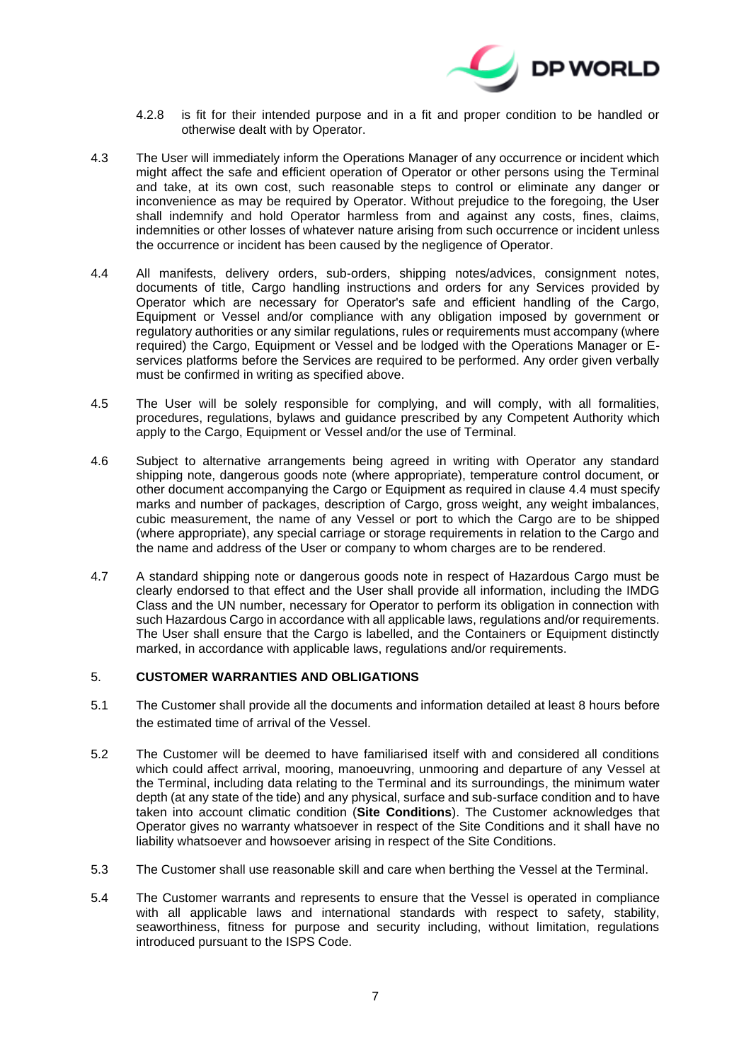

- 4.2.8 is fit for their intended purpose and in a fit and proper condition to be handled or otherwise dealt with by Operator.
- 4.3 The User will immediately inform the Operations Manager of any occurrence or incident which might affect the safe and efficient operation of Operator or other persons using the Terminal and take, at its own cost, such reasonable steps to control or eliminate any danger or inconvenience as may be required by Operator. Without prejudice to the foregoing, the User shall indemnify and hold Operator harmless from and against any costs, fines, claims, indemnities or other losses of whatever nature arising from such occurrence or incident unless the occurrence or incident has been caused by the negligence of Operator.
- <span id="page-6-0"></span>4.4 All manifests, delivery orders, sub-orders, shipping notes/advices, consignment notes, documents of title, Cargo handling instructions and orders for any Services provided by Operator which are necessary for Operator's safe and efficient handling of the Cargo, Equipment or Vessel and/or compliance with any obligation imposed by government or regulatory authorities or any similar regulations, rules or requirements must accompany (where required) the Cargo, Equipment or Vessel and be lodged with the Operations Manager or Eservices platforms before the Services are required to be performed. Any order given verbally must be confirmed in writing as specified above.
- 4.5 The User will be solely responsible for complying, and will comply, with all formalities, procedures, regulations, bylaws and guidance prescribed by any Competent Authority which apply to the Cargo, Equipment or Vessel and/or the use of Terminal.
- 4.6 Subject to alternative arrangements being agreed in writing with Operator any standard shipping note, dangerous goods note (where appropriate), temperature control document, or other document accompanying the Cargo or Equipment as required in clause [4.4](#page-6-0) must specify marks and number of packages, description of Cargo, gross weight, any weight imbalances, cubic measurement, the name of any Vessel or port to which the Cargo are to be shipped (where appropriate), any special carriage or storage requirements in relation to the Cargo and the name and address of the User or company to whom charges are to be rendered.
- 4.7 A standard shipping note or dangerous goods note in respect of Hazardous Cargo must be clearly endorsed to that effect and the User shall provide all information, including the IMDG Class and the UN number, necessary for Operator to perform its obligation in connection with such Hazardous Cargo in accordance with all applicable laws, regulations and/or requirements. The User shall ensure that the Cargo is labelled, and the Containers or Equipment distinctly marked, in accordance with applicable laws, regulations and/or requirements.

## <span id="page-6-1"></span>5. **CUSTOMER WARRANTIES AND OBLIGATIONS**

- 5.1 The Customer shall provide all the documents and information detailed at least 8 hours before the estimated time of arrival of the Vessel.
- 5.2 The Customer will be deemed to have familiarised itself with and considered all conditions which could affect arrival, mooring, manoeuvring, unmooring and departure of any Vessel at the Terminal, including data relating to the Terminal and its surroundings, the minimum water depth (at any state of the tide) and any physical, surface and sub-surface condition and to have taken into account climatic condition (**Site Conditions**). The Customer acknowledges that Operator gives no warranty whatsoever in respect of the Site Conditions and it shall have no liability whatsoever and howsoever arising in respect of the Site Conditions.
- 5.3 The Customer shall use reasonable skill and care when berthing the Vessel at the Terminal.
- 5.4 The Customer warrants and represents to ensure that the Vessel is operated in compliance with all applicable laws and international standards with respect to safety, stability, seaworthiness, fitness for purpose and security including, without limitation, regulations introduced pursuant to the ISPS Code.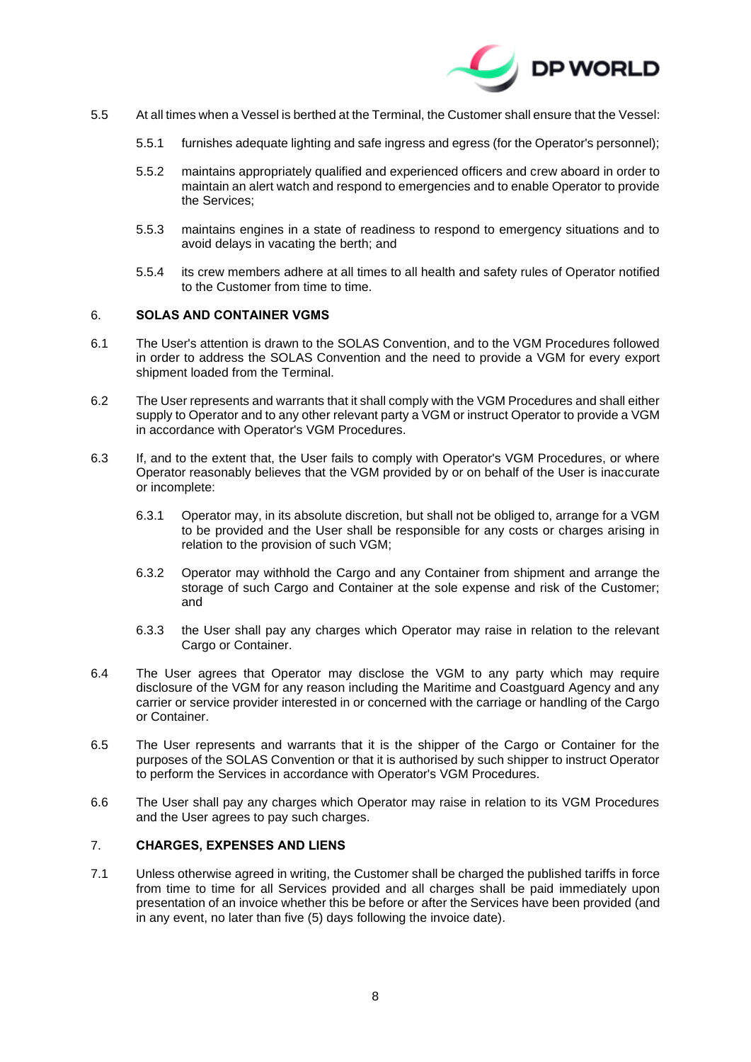

- 5.5 At all times when a Vessel is berthed at the Terminal, the Customer shall ensure that the Vessel:
	- 5.5.1 furnishes adequate lighting and safe ingress and egress (for the Operator's personnel);
	- 5.5.2 maintains appropriately qualified and experienced officers and crew aboard in order to maintain an alert watch and respond to emergencies and to enable Operator to provide the Services;
	- 5.5.3 maintains engines in a state of readiness to respond to emergency situations and to avoid delays in vacating the berth; and
	- 5.5.4 its crew members adhere at all times to all health and safety rules of Operator notified to the Customer from time to time.

## <span id="page-7-1"></span>6. **SOLAS AND CONTAINER VGMS**

- 6.1 The User's attention is drawn to the SOLAS Convention, and to the VGM Procedures followed in order to address the SOLAS Convention and the need to provide a VGM for every export shipment loaded from the Terminal.
- 6.2 The User represents and warrants that it shall comply with the VGM Procedures and shall either supply to Operator and to any other relevant party a VGM or instruct Operator to provide a VGM in accordance with Operator's VGM Procedures.
- 6.3 If, and to the extent that, the User fails to comply with Operator's VGM Procedures, or where Operator reasonably believes that the VGM provided by or on behalf of the User is inaccurate or incomplete:
	- 6.3.1 Operator may, in its absolute discretion, but shall not be obliged to, arrange for a VGM to be provided and the User shall be responsible for any costs or charges arising in relation to the provision of such VGM;
	- 6.3.2 Operator may withhold the Cargo and any Container from shipment and arrange the storage of such Cargo and Container at the sole expense and risk of the Customer; and
	- 6.3.3 the User shall pay any charges which Operator may raise in relation to the relevant Cargo or Container.
- 6.4 The User agrees that Operator may disclose the VGM to any party which may require disclosure of the VGM for any reason including the Maritime and Coastguard Agency and any carrier or service provider interested in or concerned with the carriage or handling of the Cargo or Container.
- 6.5 The User represents and warrants that it is the shipper of the Cargo or Container for the purposes of the SOLAS Convention or that it is authorised by such shipper to instruct Operator to perform the Services in accordance with Operator's VGM Procedures.
- 6.6 The User shall pay any charges which Operator may raise in relation to its VGM Procedures and the User agrees to pay such charges.

#### <span id="page-7-2"></span>7. **CHARGES, EXPENSES AND LIENS**

<span id="page-7-0"></span>7.1 Unless otherwise agreed in writing, the Customer shall be charged the published tariffs in force from time to time for all Services provided and all charges shall be paid immediately upon presentation of an invoice whether this be before or after the Services have been provided (and in any event, no later than five (5) days following the invoice date).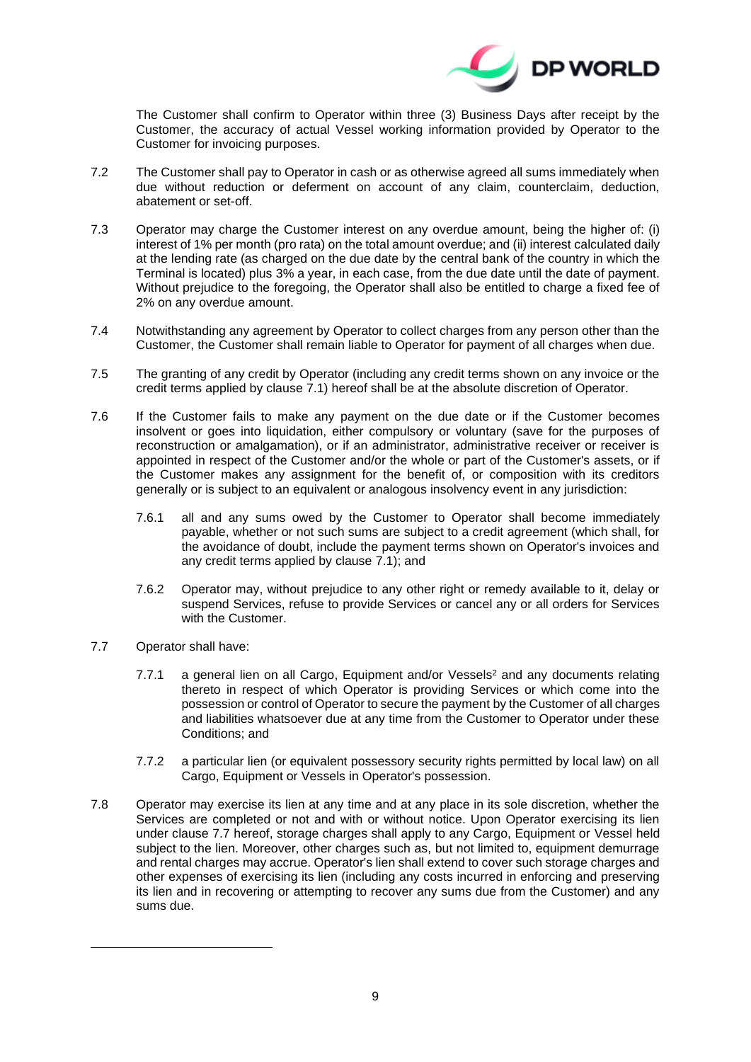

The Customer shall confirm to Operator within three (3) Business Days after receipt by the Customer, the accuracy of actual Vessel working information provided by Operator to the Customer for invoicing purposes.

- 7.2 The Customer shall pay to Operator in cash or as otherwise agreed all sums immediately when due without reduction or deferment on account of any claim, counterclaim, deduction, abatement or set-off.
- 7.3 Operator may charge the Customer interest on any overdue amount, being the higher of: (i) interest of 1% per month (pro rata) on the total amount overdue; and (ii) interest calculated daily at the lending rate (as charged on the due date by the central bank of the country in which the Terminal is located) plus 3% a year, in each case, from the due date until the date of payment. Without prejudice to the foregoing, the Operator shall also be entitled to charge a fixed fee of 2% on any overdue amount.
- 7.4 Notwithstanding any agreement by Operator to collect charges from any person other than the Customer, the Customer shall remain liable to Operator for payment of all charges when due.
- 7.5 The granting of any credit by Operator (including any credit terms shown on any invoice or the credit terms applied by clause [7.1\)](#page-7-0) hereof shall be at the absolute discretion of Operator.
- 7.6 If the Customer fails to make any payment on the due date or if the Customer becomes insolvent or goes into liquidation, either compulsory or voluntary (save for the purposes of reconstruction or amalgamation), or if an administrator, administrative receiver or receiver is appointed in respect of the Customer and/or the whole or part of the Customer's assets, or if the Customer makes any assignment for the benefit of, or composition with its creditors generally or is subject to an equivalent or analogous insolvency event in any jurisdiction:
	- 7.6.1 all and any sums owed by the Customer to Operator shall become immediately payable, whether or not such sums are subject to a credit agreement (which shall, for the avoidance of doubt, include the payment terms shown on Operator's invoices and any credit terms applied by clause [7.1\)](#page-7-0); and
	- 7.6.2 Operator may, without prejudice to any other right or remedy available to it, delay or suspend Services, refuse to provide Services or cancel any or all orders for Services with the Customer.
- <span id="page-8-0"></span>7.7 Operator shall have:
	- 7.7.1 a general lien on all Cargo, Equipment and/or Vessels <sup>2</sup> and any documents relating thereto in respect of which Operator is providing Services or which come into the possession or control of Operator to secure the payment by the Customer of all charges and liabilities whatsoever due at any time from the Customer to Operator under these Conditions; and
	- 7.7.2 a particular lien (or equivalent possessory security rights permitted by local law) on all Cargo, Equipment or Vessels in Operator's possession.
- 7.8 Operator may exercise its lien at any time and at any place in its sole discretion, whether the Services are completed or not and with or without notice. Upon Operator exercising its lien under clause [7.7](#page-8-0) hereof, storage charges shall apply to any Cargo, Equipment or Vessel held subject to the lien. Moreover, other charges such as, but not limited to, equipment demurrage and rental charges may accrue. Operator's lien shall extend to cover such storage charges and other expenses of exercising its lien (including any costs incurred in enforcing and preserving its lien and in recovering or attempting to recover any sums due from the Customer) and any sums due.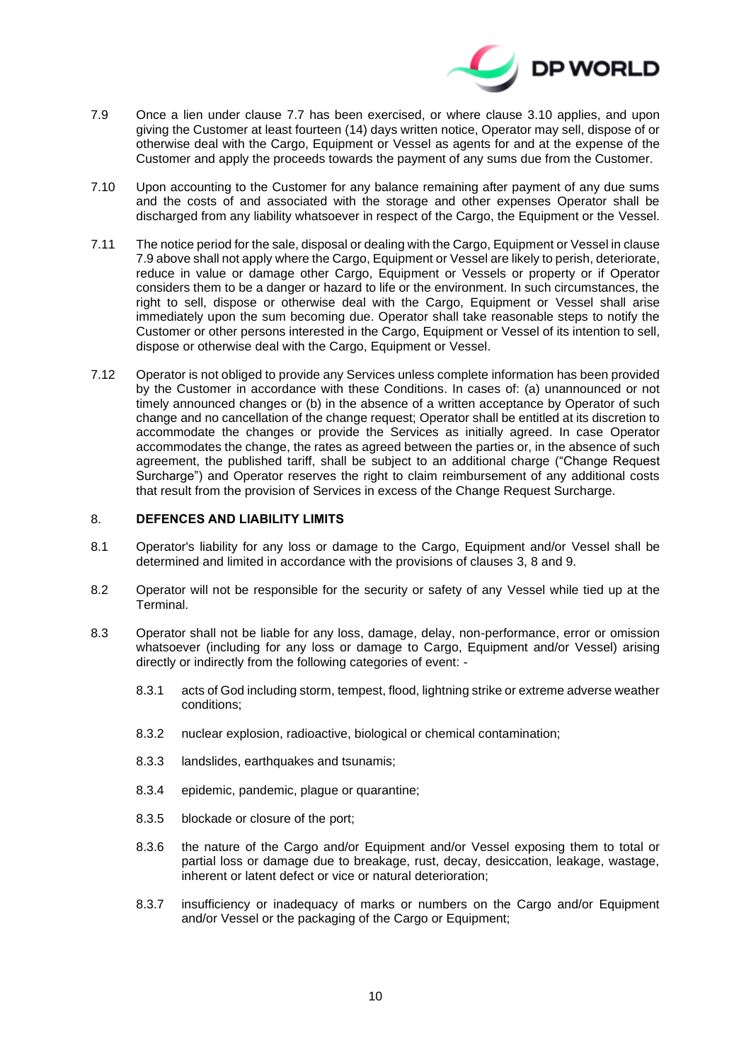

- <span id="page-9-0"></span>7.9 Once a lien under clause [7.7](#page-8-0) has been exercised, or where clause [3.10](#page-4-0) applies, and upon giving the Customer at least fourteen (14) days written notice, Operator may sell, dispose of or otherwise deal with the Cargo, Equipment or Vessel as agents for and at the expense of the Customer and apply the proceeds towards the payment of any sums due from the Customer.
- 7.10 Upon accounting to the Customer for any balance remaining after payment of any due sums and the costs of and associated with the storage and other expenses Operator shall be discharged from any liability whatsoever in respect of the Cargo, the Equipment or the Vessel.
- <span id="page-9-1"></span>7.11 The notice period for the sale, disposal or dealing with the Cargo, Equipment or Vessel in clause [7.9](#page-9-0) above shall not apply where the Cargo, Equipment or Vessel are likely to perish, deteriorate, reduce in value or damage other Cargo, Equipment or Vessels or property or if Operator considers them to be a danger or hazard to life or the environment. In such circumstances, the right to sell, dispose or otherwise deal with the Cargo, Equipment or Vessel shall arise immediately upon the sum becoming due. Operator shall take reasonable steps to notify the Customer or other persons interested in the Cargo, Equipment or Vessel of its intention to sell, dispose or otherwise deal with the Cargo, Equipment or Vessel.
- 7.12 Operator is not obliged to provide any Services unless complete information has been provided by the Customer in accordance with these Conditions. In cases of: (a) unannounced or not timely announced changes or (b) in the absence of a written acceptance by Operator of such change and no cancellation of the change request; Operator shall be entitled at its discretion to accommodate the changes or provide the Services as initially agreed. In case Operator accommodates the change, the rates as agreed between the parties or, in the absence of such agreement, the published tariff, shall be subject to an additional charge ("Change Request Surcharge") and Operator reserves the right to claim reimbursement of any additional costs that result from the provision of Services in excess of the Change Request Surcharge.

## <span id="page-9-2"></span>8. **DEFENCES AND LIABILITY LIMITS**

- 8.1 Operator's liability for any loss or damage to the Cargo, Equipment and/or Vessel shall be determined and limited in accordance with the provisions of clauses [3,](#page-3-1) [8](#page-9-2) an[d 9.](#page-11-1)
- 8.2 Operator will not be responsible for the security or safety of any Vessel while tied up at the Terminal.
- 8.3 Operator shall not be liable for any loss, damage, delay, non-performance, error or omission whatsoever (including for any loss or damage to Cargo, Equipment and/or Vessel) arising directly or indirectly from the following categories of event: -
	- 8.3.1 acts of God including storm, tempest, flood, lightning strike or extreme adverse weather conditions;
	- 8.3.2 nuclear explosion, radioactive, biological or chemical contamination;
	- 8.3.3 landslides, earthquakes and tsunamis;
	- 8.3.4 epidemic, pandemic, plague or quarantine;
	- 8.3.5 blockade or closure of the port;
	- 8.3.6 the nature of the Cargo and/or Equipment and/or Vessel exposing them to total or partial loss or damage due to breakage, rust, decay, desiccation, leakage, wastage, inherent or latent defect or vice or natural deterioration;
	- 8.3.7 insufficiency or inadequacy of marks or numbers on the Cargo and/or Equipment and/or Vessel or the packaging of the Cargo or Equipment;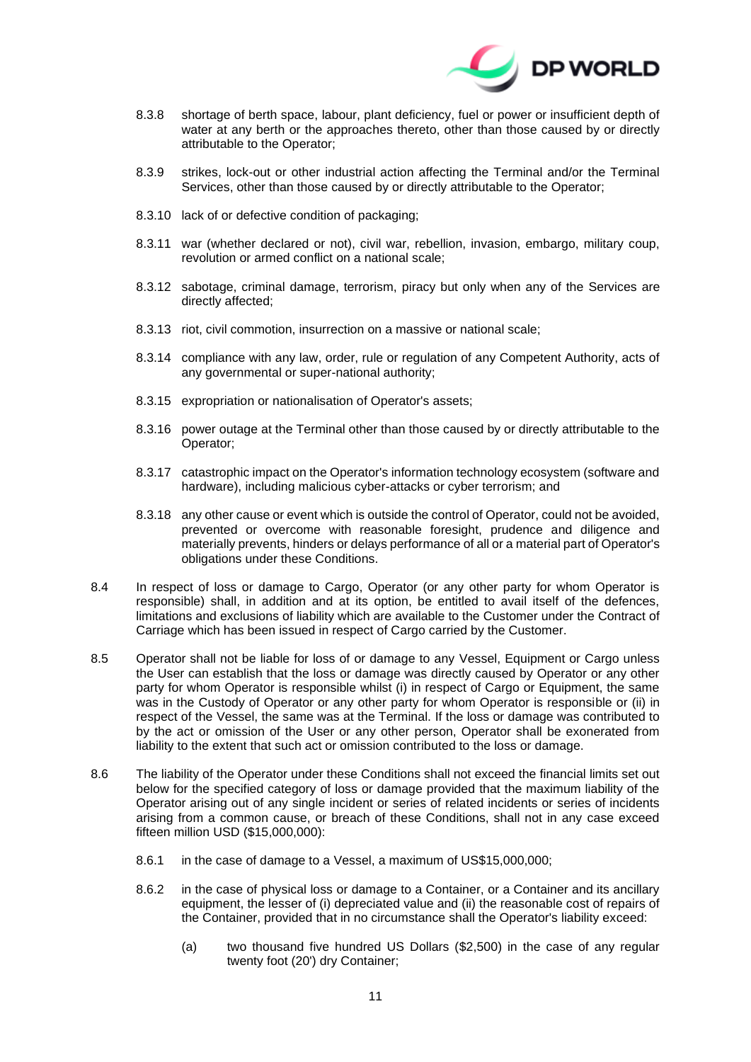

- 8.3.8 shortage of berth space, labour, plant deficiency, fuel or power or insufficient depth of water at any berth or the approaches thereto, other than those caused by or directly attributable to the Operator;
- 8.3.9 strikes, lock-out or other industrial action affecting the Terminal and/or the Terminal Services, other than those caused by or directly attributable to the Operator;
- 8.3.10 lack of or defective condition of packaging;
- 8.3.11 war (whether declared or not), civil war, rebellion, invasion, embargo, military coup, revolution or armed conflict on a national scale;
- 8.3.12 sabotage, criminal damage, terrorism, piracy but only when any of the Services are directly affected;
- 8.3.13 riot, civil commotion, insurrection on a massive or national scale;
- 8.3.14 compliance with any law, order, rule or regulation of any Competent Authority, acts of any governmental or super-national authority;
- 8.3.15 expropriation or nationalisation of Operator's assets;
- 8.3.16 power outage at the Terminal other than those caused by or directly attributable to the Operator;
- 8.3.17 catastrophic impact on the Operator's information technology ecosystem (software and hardware), including malicious cyber-attacks or cyber terrorism; and
- 8.3.18 any other cause or event which is outside the control of Operator, could not be avoided, prevented or overcome with reasonable foresight, prudence and diligence and materially prevents, hinders or delays performance of all or a material part of Operator's obligations under these Conditions.
- 8.4 In respect of loss or damage to Cargo, Operator (or any other party for whom Operator is responsible) shall, in addition and at its option, be entitled to avail itself of the defences, limitations and exclusions of liability which are available to the Customer under the Contract of Carriage which has been issued in respect of Cargo carried by the Customer.
- 8.5 Operator shall not be liable for loss of or damage to any Vessel, Equipment or Cargo unless the User can establish that the loss or damage was directly caused by Operator or any other party for whom Operator is responsible whilst (i) in respect of Cargo or Equipment, the same was in the Custody of Operator or any other party for whom Operator is responsible or (ii) in respect of the Vessel, the same was at the Terminal. If the loss or damage was contributed to by the act or omission of the User or any other person, Operator shall be exonerated from liability to the extent that such act or omission contributed to the loss or damage.
- <span id="page-10-0"></span>8.6 The liability of the Operator under these Conditions shall not exceed the financial limits set out below for the specified category of loss or damage provided that the maximum liability of the Operator arising out of any single incident or series of related incidents or series of incidents arising from a common cause, or breach of these Conditions, shall not in any case exceed fifteen million USD (\$15,000,000):
	- 8.6.1 in the case of damage to a Vessel, a maximum of US\$15,000,000;
	- 8.6.2 in the case of physical loss or damage to a Container, or a Container and its ancillary equipment, the lesser of (i) depreciated value and (ii) the reasonable cost of repairs of the Container, provided that in no circumstance shall the Operator's liability exceed:
		- (a) two thousand five hundred US Dollars (\$2,500) in the case of any regular twenty foot (20') dry Container;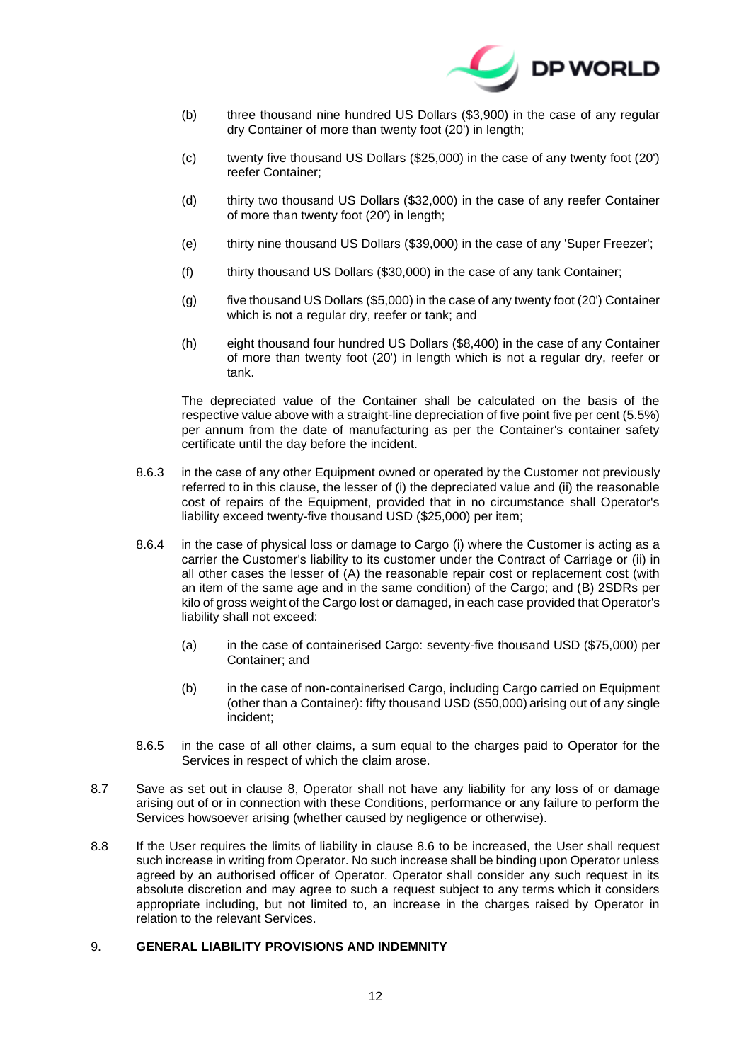

- (b) three thousand nine hundred US Dollars (\$3,900) in the case of any regular dry Container of more than twenty foot (20') in length;
- (c) twenty five thousand US Dollars (\$25,000) in the case of any twenty foot (20') reefer Container;
- (d) thirty two thousand US Dollars (\$32,000) in the case of any reefer Container of more than twenty foot (20') in length;
- (e) thirty nine thousand US Dollars (\$39,000) in the case of any 'Super Freezer';
- (f) thirty thousand US Dollars (\$30,000) in the case of any tank Container;
- (g) five thousand US Dollars (\$5,000) in the case of any twenty foot (20') Container which is not a regular dry, reefer or tank; and
- (h) eight thousand four hundred US Dollars (\$8,400) in the case of any Container of more than twenty foot (20') in length which is not a regular dry, reefer or tank.

The depreciated value of the Container shall be calculated on the basis of the respective value above with a straight-line depreciation of five point five per cent (5.5%) per annum from the date of manufacturing as per the Container's container safety certificate until the day before the incident.

- 8.6.3 in the case of any other Equipment owned or operated by the Customer not previously referred to in this clause, the lesser of (i) the depreciated value and (ii) the reasonable cost of repairs of the Equipment, provided that in no circumstance shall Operator's liability exceed twenty-five thousand USD (\$25,000) per item;
- 8.6.4 in the case of physical loss or damage to Cargo (i) where the Customer is acting as a carrier the Customer's liability to its customer under the Contract of Carriage or (ii) in all other cases the lesser of (A) the reasonable repair cost or replacement cost (with an item of the same age and in the same condition) of the Cargo; and (B) 2SDRs per kilo of gross weight of the Cargo lost or damaged, in each case provided that Operator's liability shall not exceed:
	- (a) in the case of containerised Cargo: seventy-five thousand USD (\$75,000) per Container; and
	- (b) in the case of non-containerised Cargo, including Cargo carried on Equipment (other than a Container): fifty thousand USD (\$50,000) arising out of any single incident;
- 8.6.5 in the case of all other claims, a sum equal to the charges paid to Operator for the Services in respect of which the claim arose.
- <span id="page-11-2"></span><span id="page-11-0"></span>8.7 Save as set out in clause [8,](#page-9-2) Operator shall not have any liability for any loss of or damage arising out of or in connection with these Conditions, performance or any failure to perform the Services howsoever arising (whether caused by negligence or otherwise).
- 8.8 If the User requires the limits of liability in clause [8.6](#page-10-0) to be increased, the User shall request such increase in writing from Operator. No such increase shall be binding upon Operator unless agreed by an authorised officer of Operator. Operator shall consider any such request in its absolute discretion and may agree to such a request subject to any terms which it considers appropriate including, but not limited to, an increase in the charges raised by Operator in relation to the relevant Services.

## <span id="page-11-1"></span>9. **GENERAL LIABILITY PROVISIONS AND INDEMNITY**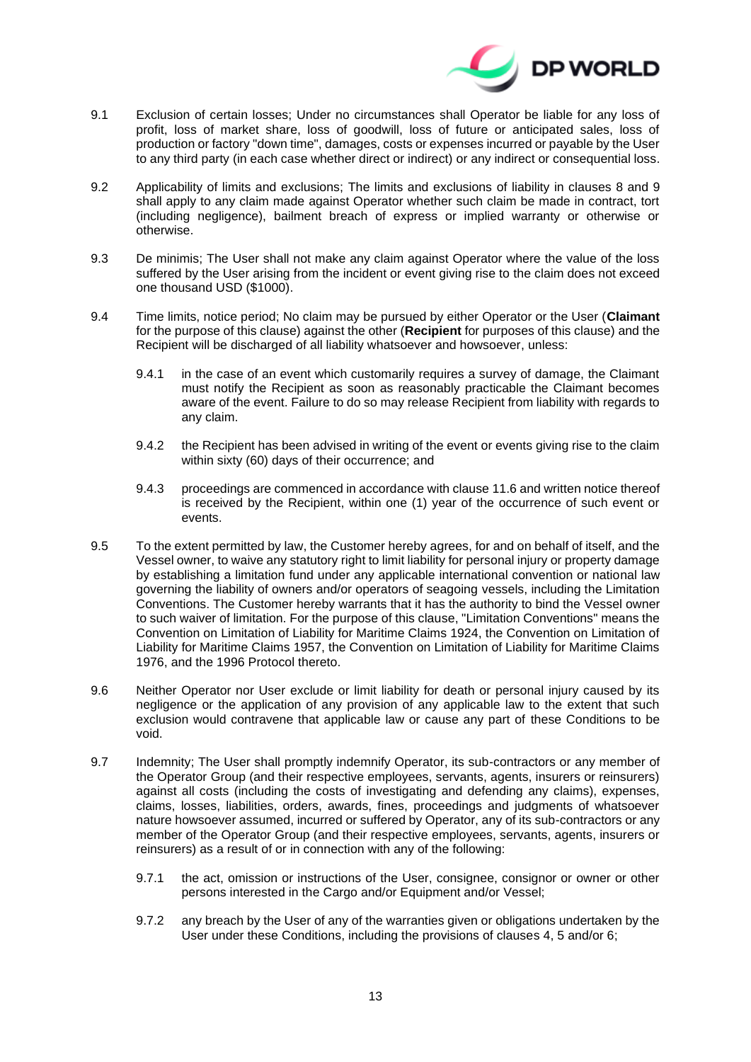

- 9.1 Exclusion of certain losses; Under no circumstances shall Operator be liable for any loss of profit, loss of market share, loss of goodwill, loss of future or anticipated sales, loss of production or factory "down time", damages, costs or expenses incurred or payable by the User to any third party (in each case whether direct or indirect) or any indirect or consequential loss.
- 9.2 Applicability of limits and exclusions; The limits and exclusions of liability in clauses [8](#page-9-2) and [9](#page-11-1) shall apply to any claim made against Operator whether such claim be made in contract, tort (including negligence), bailment breach of express or implied warranty or otherwise or otherwise.
- 9.3 De minimis; The User shall not make any claim against Operator where the value of the loss suffered by the User arising from the incident or event giving rise to the claim does not exceed one thousand USD (\$1000).
- 9.4 Time limits, notice period; No claim may be pursued by either Operator or the User (**Claimant**  for the purpose of this clause) against the other (**Recipient** for purposes of this clause) and the Recipient will be discharged of all liability whatsoever and howsoever, unless:
	- 9.4.1 in the case of an event which customarily requires a survey of damage, the Claimant must notify the Recipient as soon as reasonably practicable the Claimant becomes aware of the event. Failure to do so may release Recipient from liability with regards to any claim.
	- 9.4.2 the Recipient has been advised in writing of the event or events giving rise to the claim within sixty (60) days of their occurrence; and
	- 9.4.3 proceedings are commenced in accordance with clause [11.6](#page-16-0) and written notice thereof is received by the Recipient, within one (1) year of the occurrence of such event or events.
- 9.5 To the extent permitted by law, the Customer hereby agrees, for and on behalf of itself, and the Vessel owner, to waive any statutory right to limit liability for personal injury or property damage by establishing a limitation fund under any applicable international convention or national law governing the liability of owners and/or operators of seagoing vessels, including the Limitation Conventions. The Customer hereby warrants that it has the authority to bind the Vessel owner to such waiver of limitation. For the purpose of this clause, "Limitation Conventions" means the Convention on Limitation of Liability for Maritime Claims 1924, the Convention on Limitation of Liability for Maritime Claims 1957, the Convention on Limitation of Liability for Maritime Claims 1976, and the 1996 Protocol thereto.
- 9.6 Neither Operator nor User exclude or limit liability for death or personal injury caused by its negligence or the application of any provision of any applicable law to the extent that such exclusion would contravene that applicable law or cause any part of these Conditions to be void.
- 9.7 Indemnity; The User shall promptly indemnify Operator, its sub-contractors or any member of the Operator Group (and their respective employees, servants, agents, insurers or reinsurers) against all costs (including the costs of investigating and defending any claims), expenses, claims, losses, liabilities, orders, awards, fines, proceedings and judgments of whatsoever nature howsoever assumed, incurred or suffered by Operator, any of its sub-contractors or any member of the Operator Group (and their respective employees, servants, agents, insurers or reinsurers) as a result of or in connection with any of the following:
	- 9.7.1 the act, omission or instructions of the User, consignee, consignor or owner or other persons interested in the Cargo and/or Equipment and/or Vessel;
	- 9.7.2 any breach by the User of any of the warranties given or obligations undertaken by the User under these Conditions, including the provisions of clauses [4,](#page-5-0) [5](#page-6-1) and/or [6;](#page-7-1)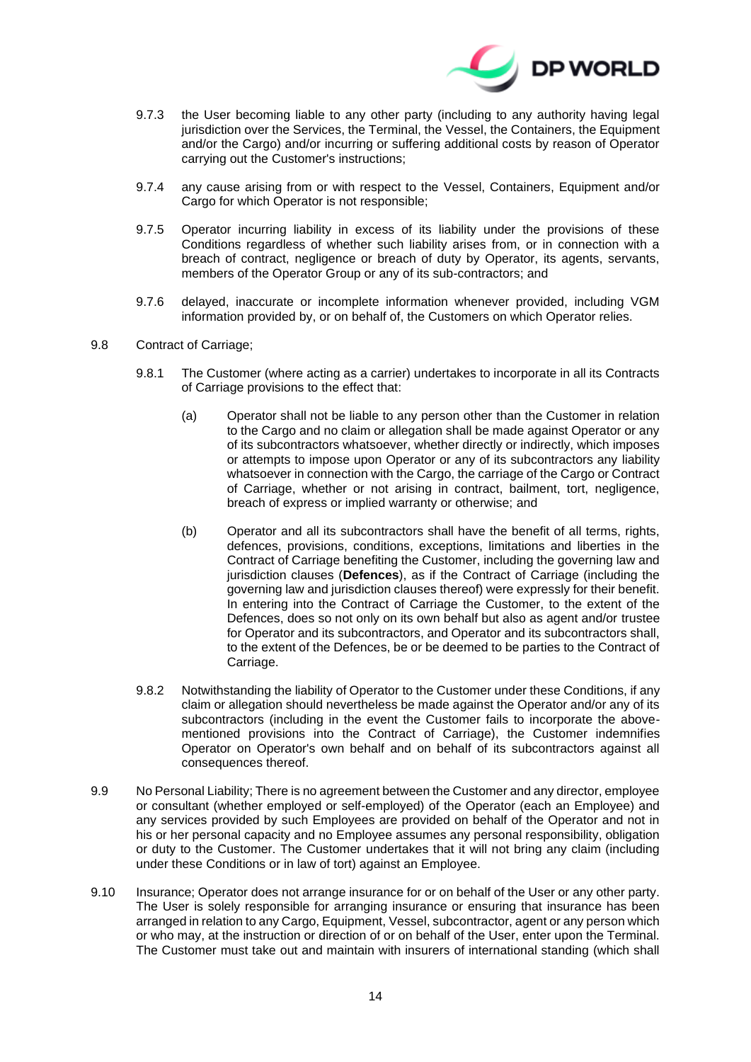

- 9.7.3 the User becoming liable to any other party (including to any authority having legal jurisdiction over the Services, the Terminal, the Vessel, the Containers, the Equipment and/or the Cargo) and/or incurring or suffering additional costs by reason of Operator carrying out the Customer's instructions;
- 9.7.4 any cause arising from or with respect to the Vessel, Containers, Equipment and/or Cargo for which Operator is not responsible;
- 9.7.5 Operator incurring liability in excess of its liability under the provisions of these Conditions regardless of whether such liability arises from, or in connection with a breach of contract, negligence or breach of duty by Operator, its agents, servants, members of the Operator Group or any of its sub-contractors; and
- 9.7.6 delayed, inaccurate or incomplete information whenever provided, including VGM information provided by, or on behalf of, the Customers on which Operator relies.
- <span id="page-13-0"></span>9.8 Contract of Carriage;
	- 9.8.1 The Customer (where acting as a carrier) undertakes to incorporate in all its Contracts of Carriage provisions to the effect that:
		- (a) Operator shall not be liable to any person other than the Customer in relation to the Cargo and no claim or allegation shall be made against Operator or any of its subcontractors whatsoever, whether directly or indirectly, which imposes or attempts to impose upon Operator or any of its subcontractors any liability whatsoever in connection with the Cargo, the carriage of the Cargo or Contract of Carriage, whether or not arising in contract, bailment, tort, negligence, breach of express or implied warranty or otherwise; and
		- (b) Operator and all its subcontractors shall have the benefit of all terms, rights, defences, provisions, conditions, exceptions, limitations and liberties in the Contract of Carriage benefiting the Customer, including the governing law and jurisdiction clauses (**Defences**), as if the Contract of Carriage (including the governing law and jurisdiction clauses thereof) were expressly for their benefit. In entering into the Contract of Carriage the Customer, to the extent of the Defences, does so not only on its own behalf but also as agent and/or trustee for Operator and its subcontractors, and Operator and its subcontractors shall, to the extent of the Defences, be or be deemed to be parties to the Contract of Carriage.
	- 9.8.2 Notwithstanding the liability of Operator to the Customer under these Conditions, if any claim or allegation should nevertheless be made against the Operator and/or any of its subcontractors (including in the event the Customer fails to incorporate the abovementioned provisions into the Contract of Carriage), the Customer indemnifies Operator on Operator's own behalf and on behalf of its subcontractors against all consequences thereof.
- 9.9 No Personal Liability; There is no agreement between the Customer and any director, employee or consultant (whether employed or self-employed) of the Operator (each an Employee) and any services provided by such Employees are provided on behalf of the Operator and not in his or her personal capacity and no Employee assumes any personal responsibility, obligation or duty to the Customer. The Customer undertakes that it will not bring any claim (including under these Conditions or in law of tort) against an Employee.
- 9.10 Insurance; Operator does not arrange insurance for or on behalf of the User or any other party. The User is solely responsible for arranging insurance or ensuring that insurance has been arranged in relation to any Cargo, Equipment, Vessel, subcontractor, agent or any person which or who may, at the instruction or direction of or on behalf of the User, enter upon the Terminal. The Customer must take out and maintain with insurers of international standing (which shall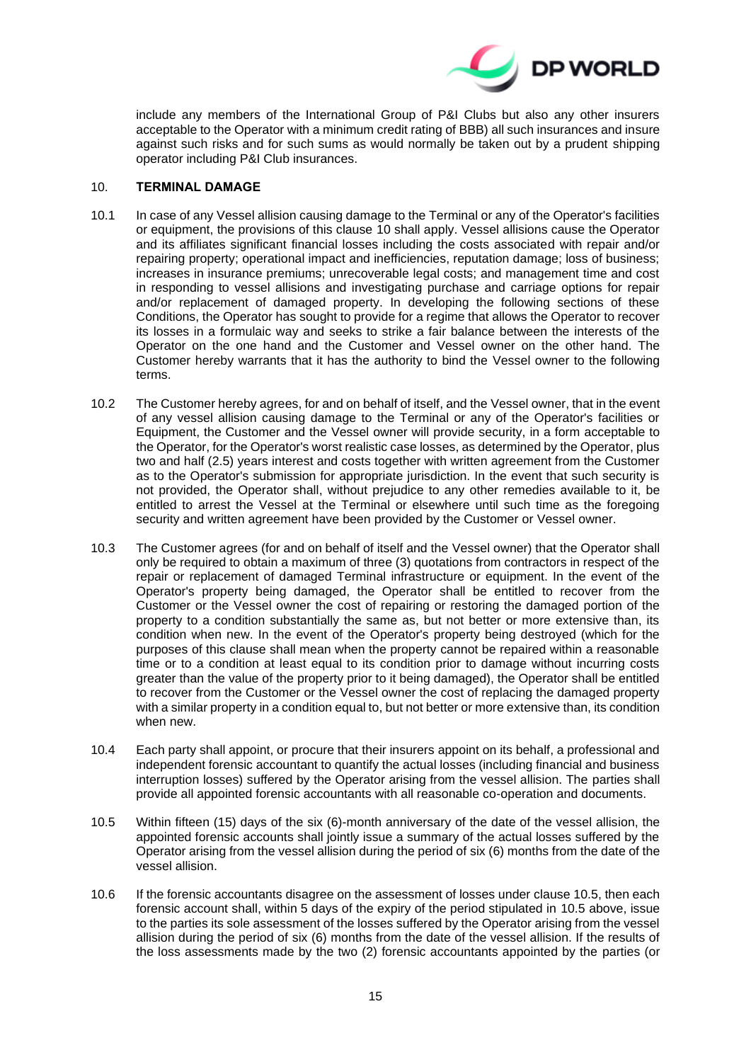

include any members of the International Group of P&I Clubs but also any other insurers acceptable to the Operator with a minimum credit rating of BBB) all such insurances and insure against such risks and for such sums as would normally be taken out by a prudent shipping operator including P&I Club insurances.

### <span id="page-14-0"></span>10. **TERMINAL DAMAGE**

- 10.1 In case of any Vessel allision causing damage to the Terminal or any of the Operator's facilities or equipment, the provisions of this clause [10](#page-14-0) shall apply. Vessel allisions cause the Operator and its affiliates significant financial losses including the costs associated with repair and/or repairing property; operational impact and inefficiencies, reputation damage; loss of business; increases in insurance premiums; unrecoverable legal costs; and management time and cost in responding to vessel allisions and investigating purchase and carriage options for repair and/or replacement of damaged property. In developing the following sections of these Conditions, the Operator has sought to provide for a regime that allows the Operator to recover its losses in a formulaic way and seeks to strike a fair balance between the interests of the Operator on the one hand and the Customer and Vessel owner on the other hand. The Customer hereby warrants that it has the authority to bind the Vessel owner to the following terms.
- 10.2 The Customer hereby agrees, for and on behalf of itself, and the Vessel owner, that in the event of any vessel allision causing damage to the Terminal or any of the Operator's facilities or Equipment, the Customer and the Vessel owner will provide security, in a form acceptable to the Operator, for the Operator's worst realistic case losses, as determined by the Operator, plus two and half (2.5) years interest and costs together with written agreement from the Customer as to the Operator's submission for appropriate jurisdiction. In the event that such security is not provided, the Operator shall, without prejudice to any other remedies available to it, be entitled to arrest the Vessel at the Terminal or elsewhere until such time as the foregoing security and written agreement have been provided by the Customer or Vessel owner.
- 10.3 The Customer agrees (for and on behalf of itself and the Vessel owner) that the Operator shall only be required to obtain a maximum of three (3) quotations from contractors in respect of the repair or replacement of damaged Terminal infrastructure or equipment. In the event of the Operator's property being damaged, the Operator shall be entitled to recover from the Customer or the Vessel owner the cost of repairing or restoring the damaged portion of the property to a condition substantially the same as, but not better or more extensive than, its condition when new. In the event of the Operator's property being destroyed (which for the purposes of this clause shall mean when the property cannot be repaired within a reasonable time or to a condition at least equal to its condition prior to damage without incurring costs greater than the value of the property prior to it being damaged), the Operator shall be entitled to recover from the Customer or the Vessel owner the cost of replacing the damaged property with a similar property in a condition equal to, but not better or more extensive than, its condition when new.
- <span id="page-14-1"></span>10.4 Each party shall appoint, or procure that their insurers appoint on its behalf, a professional and independent forensic accountant to quantify the actual losses (including financial and business interruption losses) suffered by the Operator arising from the vessel allision. The parties shall provide all appointed forensic accountants with all reasonable co-operation and documents.
- <span id="page-14-2"></span>10.5 Within fifteen (15) days of the six (6)-month anniversary of the date of the vessel allision, the appointed forensic accounts shall jointly issue a summary of the actual losses suffered by the Operator arising from the vessel allision during the period of six (6) months from the date of the vessel allision.
- 10.6 If the forensic accountants disagree on the assessment of losses under clause 10.5, then each forensic account shall, within 5 days of the expiry of the period stipulated in 10.5 above, issue to the parties its sole assessment of the losses suffered by the Operator arising from the vessel allision during the period of six (6) months from the date of the vessel allision. If the results of the loss assessments made by the two (2) forensic accountants appointed by the parties (or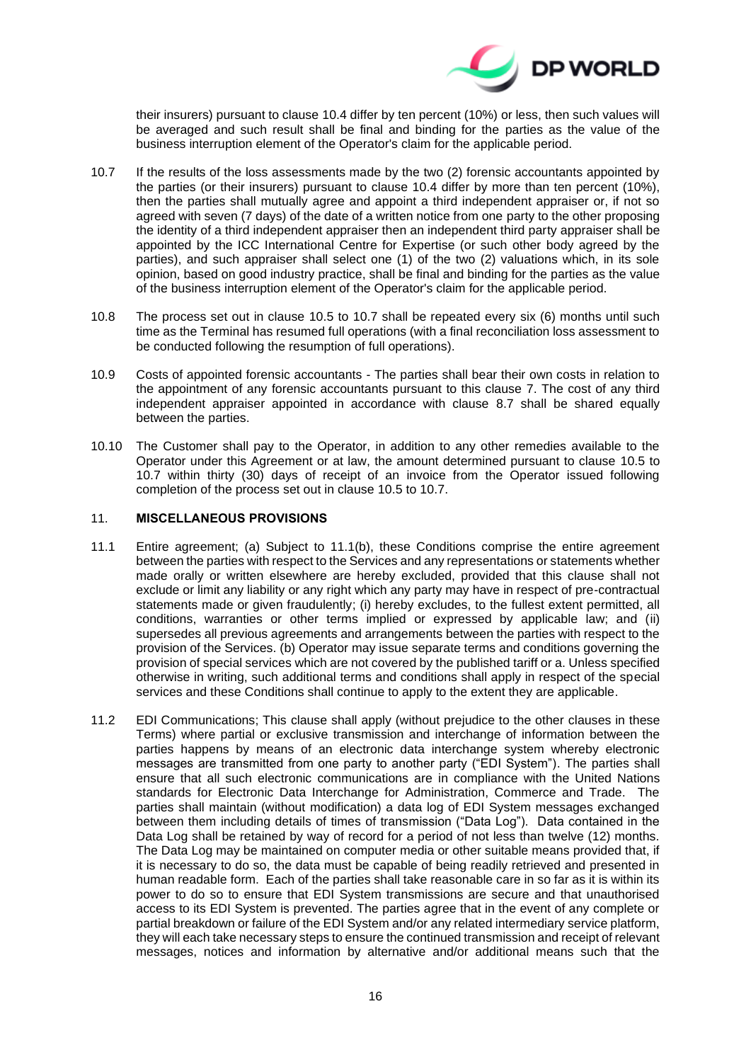

their insurers) pursuant to clause [10.4](#page-14-1) differ by ten percent (10%) or less, then such values will be averaged and such result shall be final and binding for the parties as the value of the business interruption element of the Operator's claim for the applicable period.

- <span id="page-15-0"></span>10.7 If the results of the loss assessments made by the two (2) forensic accountants appointed by the parties (or their insurers) pursuant to clause [10.4](#page-14-1) differ by more than ten percent (10%), then the parties shall mutually agree and appoint a third independent appraiser or, if not so agreed with seven (7 days) of the date of a written notice from one party to the other proposing the identity of a third independent appraiser then an independent third party appraiser shall be appointed by the ICC International Centre for Expertise (or such other body agreed by the parties), and such appraiser shall select one (1) of the two (2) valuations which, in its sole opinion, based on good industry practice, shall be final and binding for the parties as the value of the business interruption element of the Operator's claim for the applicable period.
- 10.8 The process set out in clause [10.5](#page-14-2) to [10.7](#page-15-0) shall be repeated every six (6) months until such time as the Terminal has resumed full operations (with a final reconciliation loss assessment to be conducted following the resumption of full operations).
- 10.9 Costs of appointed forensic accountants The parties shall bear their own costs in relation to the appointment of any forensic accountants pursuant to this clause [7.](#page-7-2) The cost of any third independent appraiser appointed in accordance with clause [8.7](#page-11-2) shall be shared equally between the parties.
- 10.10 The Customer shall pay to the Operator, in addition to any other remedies available to the Operator under this Agreement or at law, the amount determined pursuant to clause [10.5](#page-14-2) to [10.7](#page-15-0) within thirty (30) days of receipt of an invoice from the Operator issued following completion of the process set out in clause [10.5](#page-14-2) to [10.7.](#page-15-0)

## 11. **MISCELLANEOUS PROVISIONS**

- 11.1 Entire agreement; (a) Subject to 11.1(b), these Conditions comprise the entire agreement between the parties with respect to the Services and any representations or statements whether made orally or written elsewhere are hereby excluded, provided that this clause shall not exclude or limit any liability or any right which any party may have in respect of pre-contractual statements made or given fraudulently; (i) hereby excludes, to the fullest extent permitted, all conditions, warranties or other terms implied or expressed by applicable law; and (ii) supersedes all previous agreements and arrangements between the parties with respect to the provision of the Services. (b) Operator may issue separate terms and conditions governing the provision of special services which are not covered by the published tariff or a. Unless specified otherwise in writing, such additional terms and conditions shall apply in respect of the special services and these Conditions shall continue to apply to the extent they are applicable.
- 11.2 EDI Communications; This clause shall apply (without prejudice to the other clauses in these Terms) where partial or exclusive transmission and interchange of information between the parties happens by means of an electronic data interchange system whereby electronic messages are transmitted from one party to another party ("EDI System"). The parties shall ensure that all such electronic communications are in compliance with the United Nations standards for Electronic Data Interchange for Administration, Commerce and Trade. The parties shall maintain (without modification) a data log of EDI System messages exchanged between them including details of times of transmission ("Data Log"). Data contained in the Data Log shall be retained by way of record for a period of not less than twelve (12) months. The Data Log may be maintained on computer media or other suitable means provided that, if it is necessary to do so, the data must be capable of being readily retrieved and presented in human readable form. Each of the parties shall take reasonable care in so far as it is within its power to do so to ensure that EDI System transmissions are secure and that unauthorised access to its EDI System is prevented. The parties agree that in the event of any complete or partial breakdown or failure of the EDI System and/or any related intermediary service platform, they will each take necessary steps to ensure the continued transmission and receipt of relevant messages, notices and information by alternative and/or additional means such that the